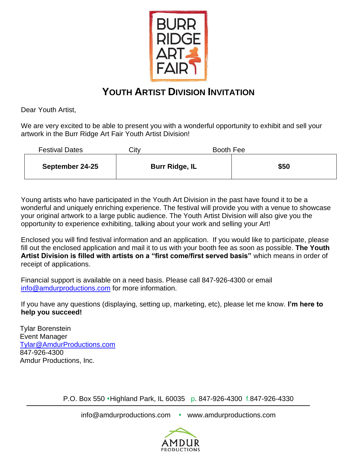

## **YOUTH ARTIST DIVISION INVITATION**

Dear Youth Artist,

We are very excited to be able to present you with a wonderful opportunity to exhibit and sell your artwork in the Burr Ridge Art Fair Youth Artist Division!

| <b>Festival Dates</b> | Citv |                       | Booth Fee |  |
|-----------------------|------|-----------------------|-----------|--|
| September 24-25       |      | <b>Burr Ridge, IL</b> | \$50      |  |

Young artists who have participated in the Youth Art Division in the past have found it to be a wonderful and uniquely enriching experience. The festival will provide you with a venue to showcase your original artwork to a large public audience. The Youth Artist Division will also give you the opportunity to experience exhibiting, talking about your work and selling your Art!

Enclosed you will find festival information and an application. If you would like to participate, please fill out the enclosed application and mail it to us with your booth fee as soon as possible. **The Youth Artist Division is filled with artists on a "first come/first served basis"** which means in order of receipt of applications.

Financial support is available on a need basis. Please call 847-926-4300 or email [info@amdurproductions.com](mailto:info@amdurproductions.com) for more information.

If you have any questions (displaying, setting up, marketing, etc), please let me know. **I'm here to help you succeed!**

Tylar Borenstein Event Manager [Tylar@AmdurProductions.com](mailto:Tylar@AmdurProductions.com) 847-926-4300 Amdur Productions, Inc.

P.O. Box 550 ⬧Highland Park, IL 60035 p. 847-926-4300 f.847-926-4330

info@amdurproductions.com • www.amdurproductions.com

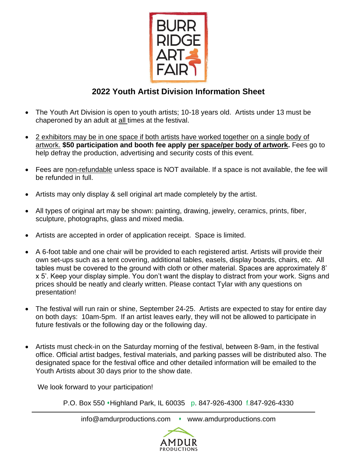

## **2022 Youth Artist Division Information Sheet**

- The Youth Art Division is open to youth artists; 10-18 years old. Artists under 13 must be chaperoned by an adult at all times at the festival.
- 2 exhibitors may be in one space if both artists have worked together on a single body of artwork. **\$50 participation and booth fee apply per space/per body of artwork.** Fees go to help defray the production, advertising and security costs of this event.
- Fees are non-refundable unless space is NOT available. If a space is not available, the fee will be refunded in full.
- Artists may only display & sell original art made completely by the artist.
- All types of original art may be shown: painting, drawing, jewelry, ceramics, prints, fiber, sculpture, photographs, glass and mixed media.
- Artists are accepted in order of application receipt. Space is limited.
- A 6-foot table and one chair will be provided to each registered artist. Artists will provide their own set-ups such as a tent covering, additional tables, easels, display boards, chairs, etc. All tables must be covered to the ground with cloth or other material. Spaces are approximately 8' x 5'. Keep your display simple. You don't want the display to distract from your work. Signs and prices should be neatly and clearly written. Please contact Tylar with any questions on presentation!
- The festival will run rain or shine, September 24-25. Artists are expected to stay for entire day on both days: 10am-5pm. If an artist leaves early, they will not be allowed to participate in future festivals or the following day or the following day.
- Artists must check-in on the Saturday morning of the festival, between 8-9am, in the festival office. Official artist badges, festival materials, and parking passes will be distributed also. The designated space for the festival office and other detailed information will be emailed to the Youth Artists about 30 days prior to the show date.

We look forward to your participation!

P.O. Box 550 ⬧Highland Park, IL 60035 p. 847-926-4300 f.847-926-4330

info@amdurproductions.com • www.amdurproductions.com